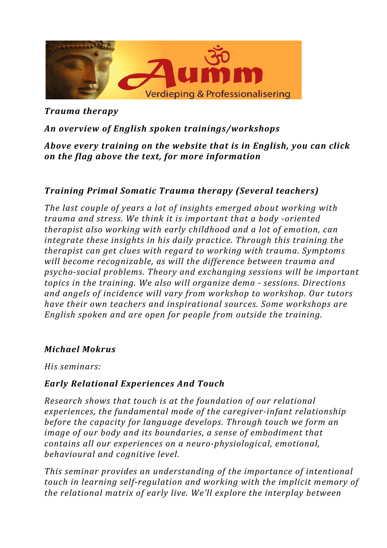

*Trauma therapy* 

# *An overview of English spoken trainings/workshops*

*Above every training on the website that is in English, you can click on the flag above the text, for more information*

## **Training Primal Somatic Trauma therapy (Several teachers)**

*The last couple of years a lot of insights emerged about working with trauma and stress. We think it is important that a body -oriented therapist also working with early childhood and a lot of emotion, can integrate these insights in his daily practice. Through this training the therapist can get clues with regard to working with trauma. Symptoms* will become recognizable, as will the difference between trauma and psycho-social problems. Theory and exchanging sessions will be important *topics in the training. We also will organize demo - sessions. Directions* and angels of *incidence* will vary from workshop to workshop. Our tutors *have their own teachers and inspirational sources. Some workshops are English spoken and are open for people from outside the training.* 

#### *Michael Mokrus*

*His seminars:*

#### *Early Relational Experiences And Touch*

*Research shows that touch is at the foundation of our relational* experiences, the fundamental mode of the caregiver-infant relationship *before the capacity for language develops. Through touch we form an image of our body and its boundaries, a sense of embodiment that contains all our experiences on a neuro-physiological, emotional, behavioural and cognitive level.*

*This seminar provides an understanding of the importance of intentional touch* in learning self-regulation and working with the implicit memory of *the relational matrix of early live. We'll explore the interplay between*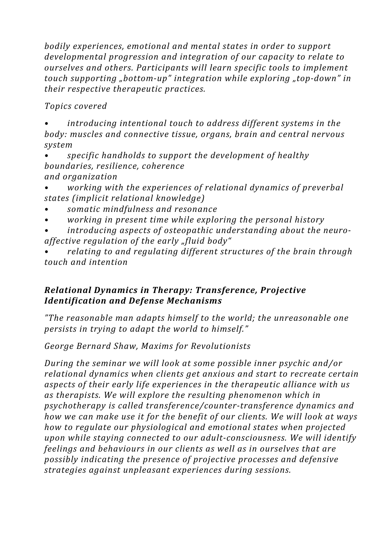*bodily experiences, emotional and mental states in order to support* developmental progression and integration of our capacity to relate to *ourselves and others. Participants will learn specific tools to implement touch supporting* "bottom-up" integration while exploring "top-down" in *their respective therapeutic practices.*

*Topics covered*

*introducing intentional touch to address different systems in the body:* muscles and connective tissue, organs, brain and central nervous *system*

*specific handholds to support the development of healthy boundaries, resilience, coherence and organization*

- *working* with the experiences of relational dynamics of preverbal *states (implicit relational knowledge)*
- *• somatic mindfulness and resonance*
- *working in present time while exploring the personal history*

introducing aspects of osteopathic understanding about the neuroaffective regulation of the early "fluid body"

*relating* to and regulating different structures of the brain through *touch and intention*

## *Relational Dynamics in Therapy: Transference, Projective Identification and Defense Mechanisms*

*"The reasonable man adapts himself to the world; the unreasonable one persists in trying to adapt the world to himself."* 

*George Bernard Shaw, Maxims for Revolutionists*

*During the seminar we will look at some possible inner psychic and/or relational dynamics when clients get anxious and start to recreate certain* aspects of their early life experiences in the therapeutic alliance with us as therapists. We will explore the resulting phenomenon which in psychotherapy is called transference/counter-transference dynamics and *how* we can make use it for the benefit of our clients. We will look at ways *how to regulate our physiological and emotional states when projected upon* while staying connected to our adult-consciousness. We will identify *feelings* and *behaviours* in our clients as well as in ourselves that are possibly indicating the presence of projective processes and defensive *strategies against unpleasant experiences during sessions.*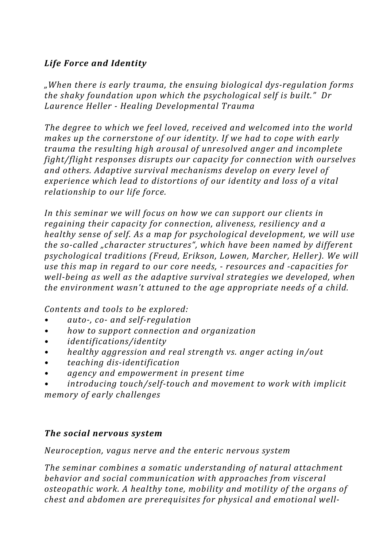# *Life Force and Identity*

*"When there is early trauma, the ensuing biological dys-regulation forms the shaky foundation upon which the psychological self is built." Dr Laurence Heller - Healing Developmental Trauma*

The degree to which we feel loved, received and welcomed into the world *makes up the cornerstone of our identity. If we had to cope with early trauma the resulting high arousal of unresolved anger and incomplete fight/flight responses disrupts our capacity for connection with ourselves* and others. Adaptive survival mechanisms develop on every level of *experience which lead to distortions of our identity and loss of a vital relationship* to our life force.

In this seminar we will focus on how we can support our clients in *regaining their capacity for connection, aliveness, resiliency and a healthy sense of self. As a map for psychological development, we will use the so-called* "*character structures*", which have been named by different psychological traditions (Freud, Erikson, Lowen, Marcher, Heller). We will *use this map in regard to our core needs, - resources and -capacities for well-being as well as the adaptive survival strategies we developed, when the environment wasn't attuned to the age appropriate needs of a child.* 

*Contents and tools to be explored:* 

- *• auto-, co- and self-regulation*
- *how to support connection and organization*
- *• identifications/identity*
- *healthy aggression and real strength vs. anger acting in/out*
- *• teaching dis-identification*
- *• agency and empowerment in present time*
- *introducing touch/self-touch and movement to work with implicit memory of early challenges*

## *The social nervous system*

*Neuroception, vagus nerve and the enteric nervous system*

The seminar combines a somatic understanding of natural attachment *behavior* and social communication with approaches from visceral osteopathic work. A healthy tone, mobility and motility of the organs of *chest and abdomen are prerequisites for physical and emotional well-*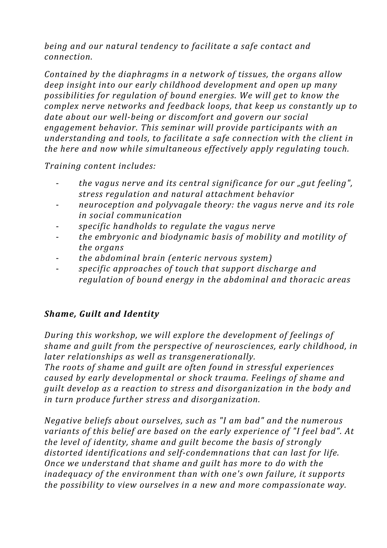*being and our natural tendency to facilitate a safe contact and connection.*

*Contained by the diaphragms in a network of tissues, the organs allow* deep insight into our early childhood development and open up many *possibilities for regulation of bound energies. We will get to know the complex nerve networks and feedback loops, that keep us constantly up to* date about our well-being or discomfort and govern our social engagement behavior. This seminar will provide participants with an *understanding and tools, to facilitate a safe connection with the client in the here and now while simultaneous effectively apply regulating touch.* 

*Training content includes:* 

- the vagus nerve and its central significance for our "gut feeling", *stress regulation and natural attachment behavior*
- neuroception and polyvagale theory: the vagus nerve and its role *in social communication*
- *specific handholds to regulate the vagus nerve*
- the embryonic and biodynamic basis of mobility and motility of *the organs*
- the abdominal brain (enteric nervous system)
- *specific approaches of touch that support discharge and regulation of bound energy in the abdominal and thoracic areas*

## **Shame, Guilt and Identity**

*During this workshop, we will explore the development of feelings of shame and quilt from the perspective of neurosciences, early childhood, in later relationships as well as transgenerationally.* 

The roots of shame and quilt are often found in stressful experiences *caused by early developmental or shock trauma. Feelings of shame and guilt develop as a reaction to stress and disorganization in the body and* in turn produce further stress and disorganization.

*Negative beliefs about ourselves, such as "I am bad" and the numerous variants of this belief are based on the early experience of "I feel bad". At the level of identity, shame and guilt become the basis of strongly* distorted *identifications* and self-condemnations that can last for life. *Once* we understand that shame and quilt has more to do with the *inadequacy* of the environment than with one's own failure, it supports *the possibility to view ourselves in a new and more compassionate way.*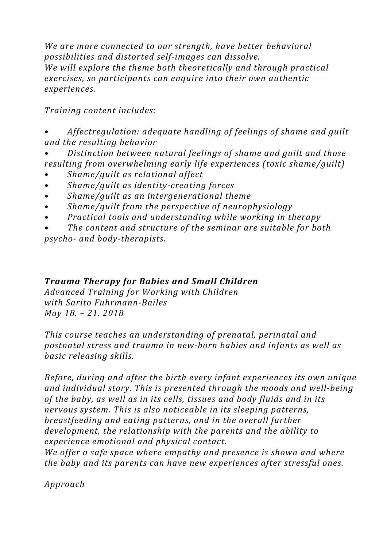We are more connected to our strength, have better behavioral *possibilities and distorted self-images can dissolve. We will explore the theme both theoretically and through practical* exercises, so participants can enquire into their own authentic *experiences.*

*Training content includes:*

*Affectregulation: adequate handling of feelings of shame and quilt and the resulting behavior*

*Distinction between natural feelings of shame and quilt and those resulting from overwhelming early life experiences (toxic shame/guilt)* 

- *• Shame/guilt as relational affect*
- *• Shame/guilt as identity-creating forces*
- *• Shame/guilt as an intergenerational theme*
- *Shame/guilt from the perspective of neurophysiology*
- Practical tools and understanding while working in therapy
- The content and structure of the seminar are suitable for both

*psycho- and body-therapists.*

# *Trauma Therapy for Babies and Small Children*

*Advanced Training for Working with Children with Sarito Fuhrmann-Bailes May 18. – 21. 2018*

This course teaches an understanding of prenatal, perinatal and postnatal stress and trauma in new-born babies and infants as well as *basic releasing skills.*

*Before, during and after the birth every infant experiences its own unique* and individual story. This is presented through the moods and well-being *of the baby, as well as in its cells, tissues and body fluids and in its nervous system. This is also noticeable in its sleeping patterns. breastfeeding and eating patterns, and in the overall further* development, the relationship with the parents and the ability to *experience emotional and physical contact.*

*We offer a safe space where empathy and presence is shown and where the baby and its parents can have new experiences after stressful ones.* 

*Approach*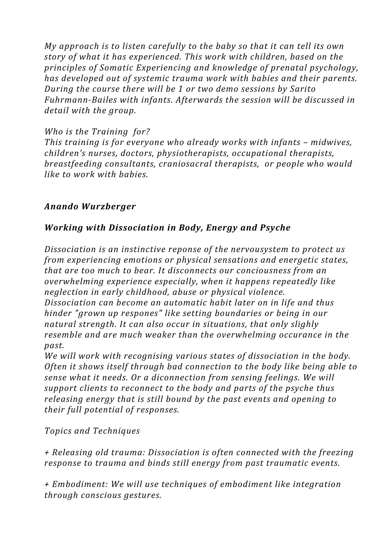*My* approach is to listen carefully to the baby so that it can tell its own *story* of what it has experienced. This work with children, based on the principles of Somatic Experiencing and knowledge of prenatal psychology, *has developed out of systemic trauma work with babies and their parents. During the course there will be 1 or two demo sessions by Sarito* Fuhrmann-Bailes with infants. Afterwards the session will be discussed in detail with the aroup.

#### *Who is the Training for?*

*This training is for everyone who already works with infants – midwives, children's nurses, doctors, physiotherapists, occupational therapists, breastfeeding consultants, craniosacral therapists, or people who would like to work with babies.* 

## *Anando Wurzberger*

## *Working with Dissociation in Body, Energy and Psyche*

*Dissociation is an instinctive reponse of the nervousystem to protect us from experiencing emotions or physical sensations and energetic states, that are too much to bear. It disconnects our conciousness from an overwhelming experience especially, when it happens repeatedly like neglection in early childhood, abuse or physical violence. Dissociation can become an automatic habit later on in life and thus hinder* "grown up respones" like setting boundaries or being in our *natural strength. It can also occur in situations, that only slighly resemble and are much weaker than the overwhelming occurance in the past.* 

*We will work with recognising various states of dissociation in the body. Often it shows itself through bad connection to the body like being able to sense what it needs. Or a diconnection from sensing feelings. We will support clients to reconnect to the body and parts of the psyche thus releasing energy that is still bound by the past events and opening to their full potential of responses.*

*Topics and Techniques*

*+ Releasing old trauma: Dissociation is often connected with the freezing response to trauma and binds still energy from past traumatic events.* 

*+ Embodiment: We will use techniques of embodiment like integration through conscious gestures.*